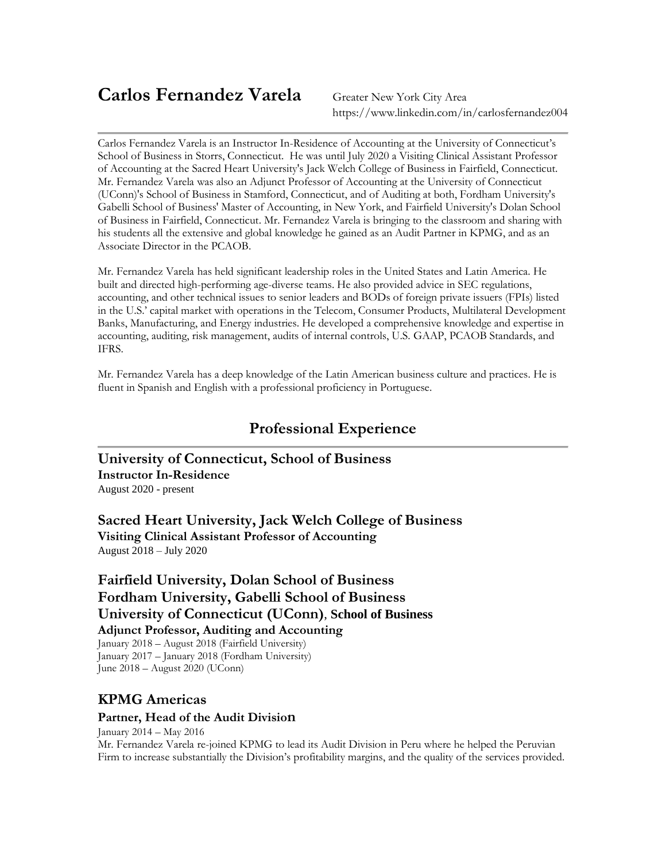# **Carlos Fernandez Varela** Greater New York City Area

https://www.linkedin.com/in/carlosfernandez004

Carlos Fernandez Varela is an Instructor In-Residence of Accounting at the University of Connecticut's School of Business in Storrs, Connecticut. He was until July 2020 a Visiting Clinical Assistant Professor of Accounting at the Sacred Heart University's Jack Welch College of Business in Fairfield, Connecticut. Mr. Fernandez Varela was also an Adjunct Professor of Accounting at the University of Connecticut (UConn)'s School of Business in Stamford, Connecticut, and of Auditing at both, Fordham University's Gabelli School of Business' Master of Accounting, in New York, and Fairfield University's Dolan School of Business in Fairfield, Connecticut. Mr. Fernandez Varela is bringing to the classroom and sharing with his students all the extensive and global knowledge he gained as an Audit Partner in KPMG, and as an Associate Director in the PCAOB.

Mr. Fernandez Varela has held significant leadership roles in the United States and Latin America. He built and directed high-performing age-diverse teams. He also provided advice in SEC regulations, accounting, and other technical issues to senior leaders and BODs of foreign private issuers (FPIs) listed in the U.S.' capital market with operations in the Telecom, Consumer Products, Multilateral Development Banks, Manufacturing, and Energy industries. He developed a comprehensive knowledge and expertise in accounting, auditing, risk management, audits of internal controls, U.S. GAAP, PCAOB Standards, and IFRS.

Mr. Fernandez Varela has a deep knowledge of the Latin American business culture and practices. He is fluent in Spanish and English with a professional proficiency in Portuguese.

## **Professional Experience**

**University of Connecticut, School of Business Instructor In-Residence** August 2020 - present

**Sacred Heart University, Jack Welch College of Business Visiting Clinical Assistant Professor of Accounting** August 2018 – July 2020

**Fairfield University, Dolan [School of Business](https://www.linkedin.com/company/5665076?trk=prof-exp-company-name) [Fordham University, Gabelli School of Business](https://www.linkedin.com/company/5665076?trk=prof-exp-company-name) University of Connecticut (UConn)**, **School of Business [Adjunct Professor, Auditing](https://www.linkedin.com/title/adjunct-professor%2C-auditing?trk=mprofile_title) and Accounting**

January 2018 – August 2018 (Fairfield University) January 2017 – January 2018 (Fordham University) June 2018 – August 2020 (UConn)

### **KPMG Americas**

#### **Partner, Head of the Audit Division**

January 2014 – May 2016

Mr. Fernandez Varela re-joined KPMG to lead its Audit Division in Peru where he helped the Peruvian Firm to increase substantially the Division's profitability margins, and the quality of the services provided.